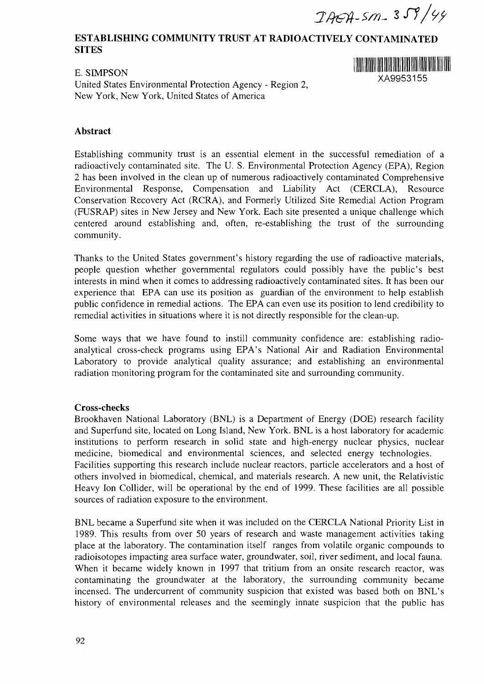*- l Si/9?*

# **ESTABLISHING COMMUNITY TRUST AT RADIOACTIVELY CONTAMINATED SITES**

E, <mark>di</mark>medu' - XA9953155 United States Environmental Protection Agency - Region 2, New York, New York, United States of America



### **Abstract**

Establishing community trust is an essential element in the successful remediation of a radioactively contaminated site. The U. S. Environmental Protection Agency (EPA), Region 2 has been involved in the clean up of numerous radioactively contaminated Comprehensive Environmental Response, Compensation and Liability Act (CERCLA), Resource Conservation Recovery Act (RCRA), and Formerly Utilized Site Remedial Action Program (FUSRAP) sites in New Jersey and New York. Each site presented a unique challenge which centered around establishing and, often, re-establishing the trust of the surrounding community.

Thanks to the United States government's history regarding the use of radioactive materials, people question whether governmental regulators could possibly have the public's best interests in mind when it comes to addressing radioactively contaminated sites. It has been our experience that EPA can use its position as guardian of the environment to help establish public confidence in remedial actions. The EPA can even use its position to lend credibility to remedial activities in situations where it is not directly responsible for the clean-up.

Some ways that we have found to instill community confidence are: establishing radioanalytical cross-check programs using EPA's National Air and Radiation Environmental Laboratory to provide analytical quality assurance; and establishing an environmental radiation monitoring program for the contaminated site and surrounding community.

#### **Cross-checks**

Brookhaven National Laboratory (BNL) is a Department of Energy (DOE) research facility and Superfund site, located on Long Island, New York. BNL is a host laboratory for academic institutions to perform research in solid state and high-energy nuclear physics, nuclear medicine, biomedical and environmental sciences, and selected energy technologies. Facilities supporting this research include nuclear reactors, particle accelerators and a host of others involved in biomedical, chemical, and materials research. A new unit, the Relativistic Heavy Ion Collider, will be operational by the end of 1999. These facilities are all possible sources of radiation exposure to the environment.

BNL became a Superfund site when it was included on the CERCLA National Priority List in 1989. This results from over 50 years of research and waste management activities taking place at the laboratory. The contamination itself ranges from volatile organic compounds to radioisotopes impacting area surface water, groundwater, soil, river sediment, and local fauna. When it became widely known in 1997 that tritium from an onsite research reactor, was contaminating the groundwater at the laboratory, the surrounding community became incensed. The undercurrent of community suspicion that existed was based both on BNL's history of environmental releases and the seemingly innate suspicion that the public has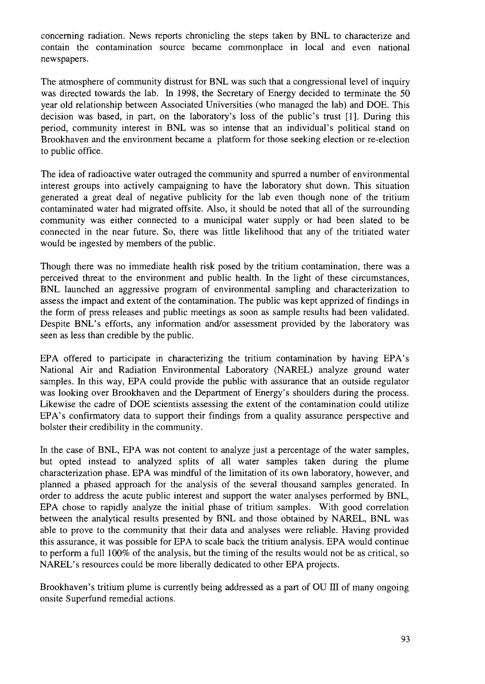concerning radiation. News reports chronicling the steps taken by BNL to characterize and contain the contamination source became commonplace in local and even national newspapers.

The atmosphere of community distrust for BNL was such that a congressional level of inquiry was directed towards the lab. In 1998, the Secretary of Energy decided to terminate the 50 year old relationship between Associated Universities (who managed the lab) and DOE. This decision was based, in part, on the laboratory's loss of the public's trust [1]. During this period, community interest in BNL was so intense that an individual's political stand on Brookhaven and the environment became a platform for those seeking election or re-election to public office.

The idea of radioactive water outraged the community and spurred a number of environmental interest groups into actively campaigning to have the laboratory shut down. This situation generated a great deal of negative publicity for the lab even though none of the tritium contaminated water had migrated offsite. Also, it should be noted that all of the surrounding community was either connected to a municipal water supply or had been slated to be connected in the near future. So, there was little likelihood that any of the tritiated water would be ingested by members of the public.

Though there was no immediate health risk posed by the tritium contamination, there was a perceived threat to the environment and public health. In the light of these circumstances, BNL launched an aggressive program of environmental sampling and characterization to assess the impact and extent of the contamination. The public was kept apprized of findings in the form of press releases and public meetings as soon as sample results had been validated. Despite BNL's efforts, any information and/or assessment provided by the laboratory was seen as less than credible by the public.

EPA offered to participate in characterizing the tritium contamination by having EPA's National Air and Radiation Environmental Laboratory (NAREL) analyze ground water samples. In this way, EPA could provide the public with assurance that an outside regulator was looking over Brookhaven and the Department of Energy's shoulders during the process. Likewise the cadre of DOE scientists assessing the extent of the contamination could utilize EPA's confirmatory data to support their findings from a quality assurance perspective and bolster their credibility in the community.

In the case of BNL, EPA was not content to analyze just a percentage of the water samples, but opted instead to analyzed splits of all water samples taken during the plume characterization phase. EPA was mindful of the limitation of its own laboratory, however, and planned a phased approach for the analysis of the several thousand samples generated. In order to address the acute public interest and support the water analyses performed by BNL, EPA chose to rapidly analyze the initial phase of tritium samples. With good correlation between the analytical results presented by BNL and those obtained by NAREL, BNL was able to prove to the community that their data and analyses were reliable. Having provided this assurance, it was possible for EPA to scale back the tritium analysis. EPA would continue to perform a full 100% of the analysis, but the timing of the results would not be as critical, so NAREL's resources could be more liberally dedicated to other EPA projects.

Brookhaven's tritium plume is currently being addressed as a part of OU III of many ongoing onsite Superfund remedial actions.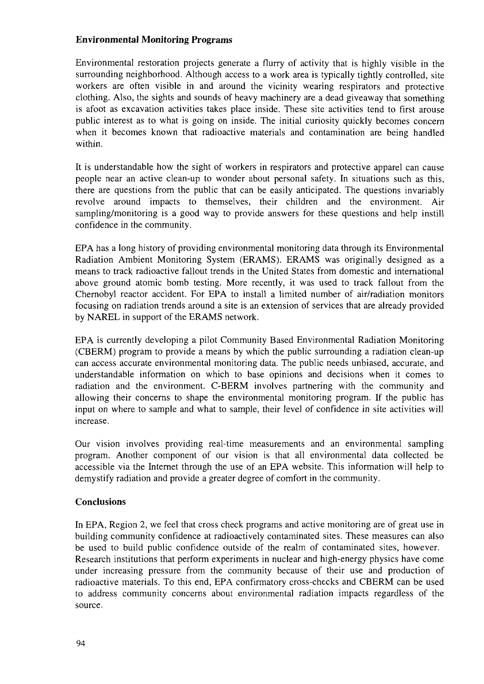## **Environmental Monitoring Programs**

Environmental restoration projects generate a flurry of activity that is highly visible in the surrounding neighborhood. Although access to a work area is typically tightly controlled, site workers are often visible in and around the vicinity wearing respirators and protective clothing. Also, the sights and sounds of heavy machinery are a dead giveaway that something is afoot as excavation activities takes place inside. These site activities tend to first arouse public interest as to what is going on inside. The initial curiosity quickly becomes concern when it becomes known that radioactive materials and contamination are being handled within.

It is understandable how the sight of workers in respirators and protective apparel can cause people near an active clean-up to wonder about personal safety. In situations such as this, there are questions from the public that can be easily anticipated. The questions invariably revolve around impacts to themselves, their children and the environment. Air sampling/monitoring is a good way to provide answers for these questions and help instill confidence in the community.

EPA has a long history of providing environmental monitoring data through its Environmental Radiation Ambient Monitoring System (ERAMS). ERAMS was originally designed as a means to track radioactive fallout trends in the United States from domestic and international above ground atomic bomb testing. More recently, it was used to track fallout from the Chernobyl reactor accident. For EPA to install a limited number of air/radiation monitors focusing on radiation trends around a site is an extension of services that are already provided by NAREL in support of the ERAMS network.

EPA is currently developing a pilot Community Based Environmental Radiation Monitoring (CBERM) program to provide a means by which the public surrounding a radiation clean-up can access accurate environmental monitoring data. The public needs unbiased, accurate, and understandable information on which to base opinions and decisions when it comes to radiation and the environment. C-BERM involves partnering with the community and allowing their concerns to shape the environmental monitoring program. If the public has input on where to sample and what to sample, their level of confidence in site activities will increase.

Our vision involves providing real-time measurements and an environmental sampling program. Another component of our vision is that all environmental data collected be accessible via the Internet through the use of an EPA website. This information will help to demystify radiation and provide a greater degree of comfort in the community.

#### **Conclusions**

In EPA, Region 2, we feel that cross check programs and active monitoring are of great use in building community confidence at radioactively contaminated sites. These measures can also be used to build public confidence outside of the realm of contaminated sites, however. Research institutions that perform experiments in nuclear and high-energy physics have come under increasing pressure from the community because of their use and production of radioactive materials. To this end, EPA confirmatory cross-checks and CBERM can be used to address community concerns about environmental radiation impacts regardless of the source.